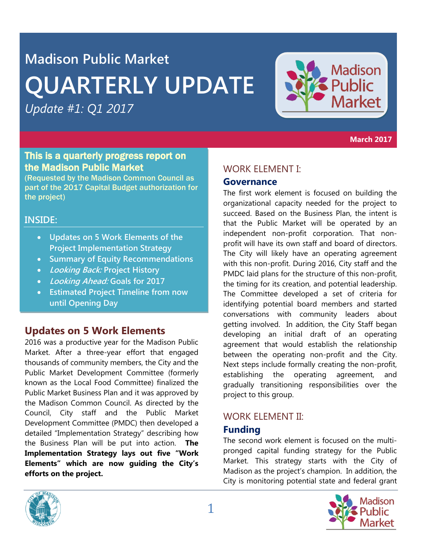# **Madison Public Market QUARTERLY UPDATE**

*Update #1: Q1 2017*



**March 2017**

# This is a quarterly progress report on the Madison Public Market

(Requested by the Madison Common Council as part of the 2017 Capital Budget authorization for the project)

# **INSIDE:**

- **Updates on 5 Work Elements of the Project Implementation Strategy**
- **Summary of Equity Recommendations**
- **Looking Back: Project History**
- **Looking Ahead: Goals for 2017**
- **Estimated Project Timeline from now until Opening Day**

# **Updates on 5 Work Elements**

2016 was a productive year for the Madison Public Market. After a three-year effort that engaged thousands of community members, the City and the Public Market Development Committee (formerly known as the Local Food Committee) finalized the Public Market Business Plan and it was approved by the Madison Common Council. As directed by the Council, City staff and the Public Market Development Committee (PMDC) then developed a detailed "Implementation Strategy" describing how the Business Plan will be put into action. **The Implementation Strategy lays out five "Work Elements" which are now guiding the City's efforts on the project.** 

# WORK ELEMENT I:

# **Governance**

The first work element is focused on building the organizational capacity needed for the project to succeed. Based on the Business Plan, the intent is that the Public Market will be operated by an independent non-profit corporation. That nonprofit will have its own staff and board of directors. The City will likely have an operating agreement with this non-profit. During 2016, City staff and the PMDC laid plans for the structure of this non-profit, the timing for its creation, and potential leadership. The Committee developed a set of criteria for identifying potential board members and started conversations with community leaders about getting involved. In addition, the City Staff began developing an initial draft of an operating agreement that would establish the relationship between the operating non-profit and the City. Next steps include formally creating the non-profit, establishing the operating agreement, and gradually transitioning responsibilities over the project to this group.

# WORK ELEMENT II:

# **Funding**

The second work element is focused on the multipronged capital funding strategy for the Public Market. This strategy starts with the City of Madison as the project's champion. In addition, the City is monitoring potential state and federal grant



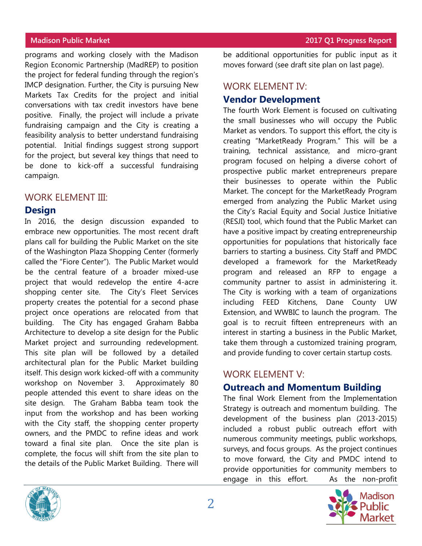programs and working closely with the Madison Region Economic Partnership (MadREP) to position the project for federal funding through the region's IMCP designation. Further, the City is pursuing New Markets Tax Credits for the project and initial conversations with tax credit investors have bene positive. Finally, the project will include a private fundraising campaign and the City is creating a feasibility analysis to better understand fundraising potential. Initial findings suggest strong support for the project, but several key things that need to be done to kick-off a successful fundraising campaign.

### WORK ELEMENT III:

### **Design**

In 2016, the design discussion expanded to embrace new opportunities. The most recent draft plans call for building the Public Market on the site of the Washington Plaza Shopping Center (formerly called the "Fiore Center"). The Public Market would be the central feature of a broader mixed-use project that would redevelop the entire 4-acre shopping center site. The City's Fleet Services property creates the potential for a second phase project once operations are relocated from that building. The City has engaged Graham Babba Architecture to develop a site design for the Public Market project and surrounding redevelopment. This site plan will be followed by a detailed architectural plan for the Public Market building itself. This design work kicked-off with a community workshop on November 3. Approximately 80 people attended this event to share ideas on the site design. The Graham Babba team took the input from the workshop and has been working with the City staff, the shopping center property owners, and the PMDC to refine ideas and work toward a final site plan. Once the site plan is complete, the focus will shift from the site plan to the details of the Public Market Building. There will

be additional opportunities for public input as it moves forward (see draft site plan on last page).

# WORK ELEMENT IV:

# **Vendor Development**

The fourth Work Element is focused on cultivating the small businesses who will occupy the Public Market as vendors. To support this effort, the city is creating "MarketReady Program." This will be a training, technical assistance, and micro-grant program focused on helping a diverse cohort of prospective public market entrepreneurs prepare their businesses to operate within the Public Market. The concept for the MarketReady Program emerged from analyzing the Public Market using the City's Racial Equity and Social Justice Initiative (RESJI) tool, which found that the Public Market can have a positive impact by creating entrepreneurship opportunities for populations that historically face barriers to starting a business. City Staff and PMDC developed a framework for the MarketReady program and released an RFP to engage a community partner to assist in administering it. The City is working with a team of organizations including FEED Kitchens, Dane County UW Extension, and WWBIC to launch the program. The goal is to recruit fifteen entrepreneurs with an interest in starting a business in the Public Market, take them through a customized training program, and provide funding to cover certain startup costs.

# WORK ELEMENT V:

# **Outreach and Momentum Building**

The final Work Element from the Implementation Strategy is outreach and momentum building. The development of the business plan (2013-2015) included a robust public outreach effort with numerous community meetings, public workshops, surveys, and focus groups. As the project continues to move forward, the City and PMDC intend to provide opportunities for community members to engage in this effort. As the non-profit

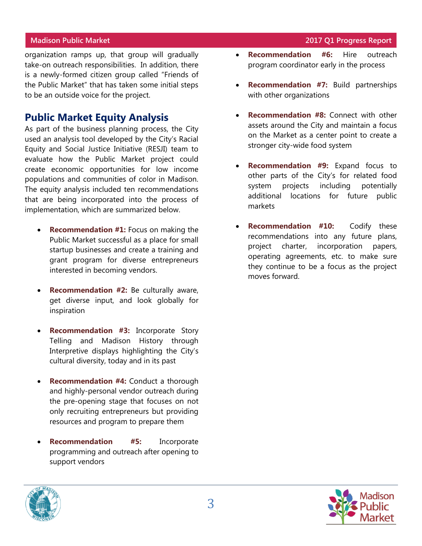organization ramps up, that group will gradually take-on outreach responsibilities. In addition, there is a newly-formed citizen group called "Friends of the Public Market" that has taken some initial steps to be an outside voice for the project.

# **Public Market Equity Analysis**

As part of the business planning process, the City used an analysis tool developed by the City's Racial Equity and Social Justice Initiative (RESJI) team to evaluate how the Public Market project could create economic opportunities for low income populations and communities of color in Madison. The equity analysis included ten recommendations that are being incorporated into the process of implementation, which are summarized below.

- **Recommendation #1:** Focus on making the Public Market successful as a place for small startup businesses and create a training and grant program for diverse entrepreneurs interested in becoming vendors.
- **Recommendation #2:** Be culturally aware, get diverse input, and look globally for inspiration
- **Recommendation #3:** Incorporate Story Telling and Madison History through Interpretive displays highlighting the City's cultural diversity, today and in its past
- **Recommendation #4:** Conduct a thorough and highly-personal vendor outreach during the pre-opening stage that focuses on not only recruiting entrepreneurs but providing resources and program to prepare them
- **Recommendation #5:** Incorporate programming and outreach after opening to support vendors
- **Madison Public Market 2017 Q1 Progress Report**
	- **Recommendation #6:** Hire outreach program coordinator early in the process
	- **Recommendation #7:** Build partnerships with other organizations
	- **Recommendation #8:** Connect with other assets around the City and maintain a focus on the Market as a center point to create a stronger city-wide food system
	- **Recommendation #9:** Expand focus to other parts of the City's for related food system projects including potentially additional locations for future public markets
	- **Recommendation #10:** Codify these recommendations into any future plans, project charter, incorporation papers, operating agreements, etc. to make sure they continue to be a focus as the project moves forward.



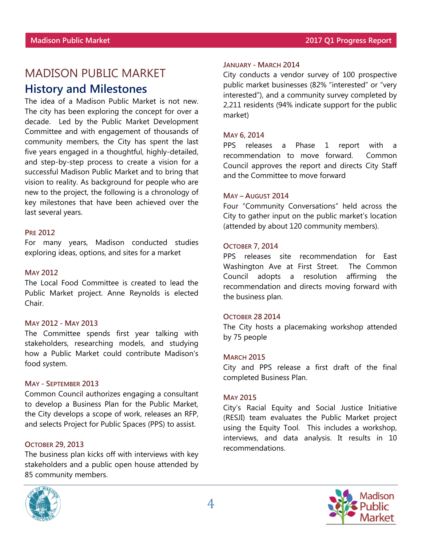# MADISON PUBLIC MARKET

# **History and Milestones**

The idea of a Madison Public Market is not new. The city has been exploring the concept for over a decade. Led by the Public Market Development Committee and with engagement of thousands of community members, the City has spent the last five years engaged in a thoughtful, highly-detailed, and step-by-step process to create a vision for a successful Madison Public Market and to bring that vision to reality. As background for people who are new to the project, the following is a chronology of key milestones that have been achieved over the last several years.

#### **PRE 2012**

For many years, Madison conducted studies exploring ideas, options, and sites for a market

#### **MAY 2012**

The Local Food Committee is created to lead the Public Market project. Anne Reynolds is elected Chair.

#### **MAY 2012 - MAY 2013**

The Committee spends first year talking with stakeholders, researching models, and studying how a Public Market could contribute Madison's food system.

#### **MAY - SEPTEMBER 2013**

Common Council authorizes engaging a consultant to develop a Business Plan for the Public Market, the City develops a scope of work, releases an RFP, and selects Project for Public Spaces (PPS) to assist.

#### **OCTOBER 29, 2013**

The business plan kicks off with interviews with key stakeholders and a public open house attended by 85 community members.



#### **JANUARY - MARCH 2014**

City conducts a vendor survey of 100 prospective public market businesses (82% "interested" or "very interested"), and a community survey completed by 2,211 residents (94% indicate support for the public market)

#### **MAY 6, 2014**

PPS releases a Phase 1 report with a recommendation to move forward. Common Council approves the report and directs City Staff and the Committee to move forward

#### **MAY – AUGUST 2014**

Four "Community Conversations" held across the City to gather input on the public market's location (attended by about 120 community members).

#### **OCTOBER 7, 2014**

PPS releases site recommendation for East Washington Ave at First Street. The Common Council adopts a resolution affirming the recommendation and directs moving forward with the business plan.

#### **OCTOBER 28 2014**

The City hosts a placemaking workshop attended by 75 people

#### **MARCH 2015**

City and PPS release a first draft of the final completed Business Plan.

#### **MAY 2015**

City's Racial Equity and Social Justice Initiative (RESJI) team evaluates the Public Market project using the Equity Tool. This includes a workshop, interviews, and data analysis. It results in 10 recommendations.

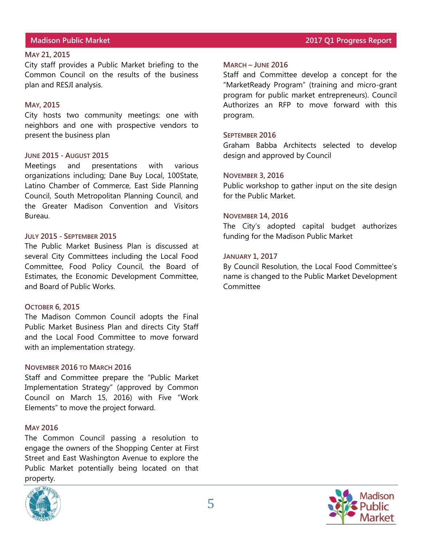#### **MAY 21, 2015**

City staff provides a Public Market briefing to the Common Council on the results of the business plan and RESJI analysis.

#### **MAY, 2015**

City hosts two community meetings: one with neighbors and one with prospective vendors to present the business plan

#### **JUNE 2015 - AUGUST 2015**

Meetings and presentations with various organizations including; Dane Buy Local, 100State, Latino Chamber of Commerce, East Side Planning Council, South Metropolitan Planning Council, and the Greater Madison Convention and Visitors Bureau.

#### **JULY 2015 - SEPTEMBER 2015**

The Public Market Business Plan is discussed at several City Committees including the Local Food Committee, Food Policy Council, the Board of Estimates, the Economic Development Committee, and Board of Public Works.

#### **OCTOBER 6, 2015**

The Madison Common Council adopts the Final Public Market Business Plan and directs City Staff and the Local Food Committee to move forward with an implementation strategy.

#### **NOVEMBER 2016 TO MARCH 2016**

Staff and Committee prepare the "Public Market Implementation Strategy" (approved by Common Council on March 15, 2016) with Five "Work Elements" to move the project forward.

#### **MAY 2016**

The Common Council passing a resolution to engage the owners of the Shopping Center at First Street and East Washington Avenue to explore the Public Market potentially being located on that property.



### **Madison Public Market 2017 Q1 Progress Report**

#### **MARCH – JUNE 2016**

Staff and Committee develop a concept for the "MarketReady Program" (training and micro-grant program for public market entrepreneurs). Council Authorizes an RFP to move forward with this program.

#### **SEPTEMBER 2016**

Graham Babba Architects selected to develop design and approved by Council

#### **NOVEMBER 3, 2016**

Public workshop to gather input on the site design for the Public Market.

#### **NOVEMBER 14, 2016**

The City's adopted capital budget authorizes funding for the Madison Public Market

#### **JANUARY 1, 2017**

By Council Resolution, the Local Food Committee's name is changed to the Public Market Development Committee

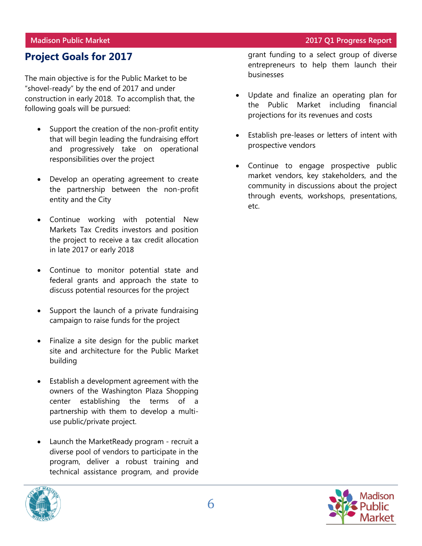# **Project Goals for 2017**

The main objective is for the Public Market to be "shovel-ready" by the end of 2017 and under construction in early 2018. To accomplish that, the following goals will be pursued:

- Support the creation of the non-profit entity that will begin leading the fundraising effort and progressively take on operational responsibilities over the project
- Develop an operating agreement to create the partnership between the non-profit entity and the City
- Continue working with potential New Markets Tax Credits investors and position the project to receive a tax credit allocation in late 2017 or early 2018
- Continue to monitor potential state and federal grants and approach the state to discuss potential resources for the project
- Support the launch of a private fundraising campaign to raise funds for the project
- Finalize a site design for the public market site and architecture for the Public Market building
- Establish a development agreement with the owners of the Washington Plaza Shopping center establishing the terms of a partnership with them to develop a multiuse public/private project.
- Launch the MarketReady program recruit a diverse pool of vendors to participate in the program, deliver a robust training and technical assistance program, and provide



- Update and finalize an operating plan for the Public Market including financial projections for its revenues and costs
- Establish pre-leases or letters of intent with prospective vendors
- Continue to engage prospective public market vendors, key stakeholders, and the community in discussions about the project through events, workshops, presentations, etc.



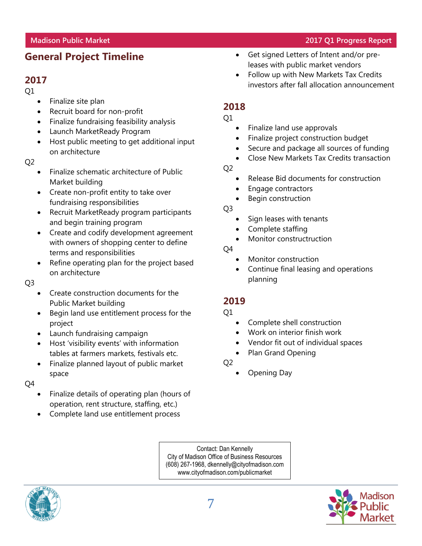# **General Project Timeline**

# **2017**

Q1

- Finalize site plan
- Recruit board for non-profit
- Finalize fundraising feasibility analysis
- Launch MarketReady Program
- Host public meeting to get additional input on architecture

Q2

- Finalize schematic architecture of Public Market building
- Create non-profit entity to take over fundraising responsibilities
- Recruit MarketReady program participants and begin training program
- Create and codify development agreement with owners of shopping center to define terms and responsibilities
- Refine operating plan for the project based on architecture

### Q3

- Create construction documents for the Public Market building
- Begin land use entitlement process for the project
- Launch fundraising campaign
- Host 'visibility events' with information tables at farmers markets, festivals etc.
- Finalize planned layout of public market space

Q4

- Finalize details of operating plan (hours of operation, rent structure, staffing, etc.)
- Complete land use entitlement process
- Get signed Letters of Intent and/or preleases with public market vendors
- Follow up with New Markets Tax Credits investors after fall allocation announcement

# **2018**

Q1

- Finalize land use approvals
- Finalize project construction budget
- Secure and package all sources of funding
- Close New Markets Tax Credits transaction
- Q2
- Release Bid documents for construction
- Engage contractors
- Begin construction

Q3

- Sign leases with tenants
- Complete staffing
- Monitor constructruction

Q4

- Monitor construction
- Continue final leasing and operations planning

# **2019**

- $Q1$
- Complete shell construction
- Work on interior finish work
- Vendor fit out of individual spaces
- Plan Grand Opening

Q2

Opening Day

Contact: Dan Kennelly City of Madison Office of Business Resources (608) 267-1968, dkennelly@cityofmadison.com www.cityofmadison.com/publicmarket





**Madison Public Market 2017 Q1 Progress Report**